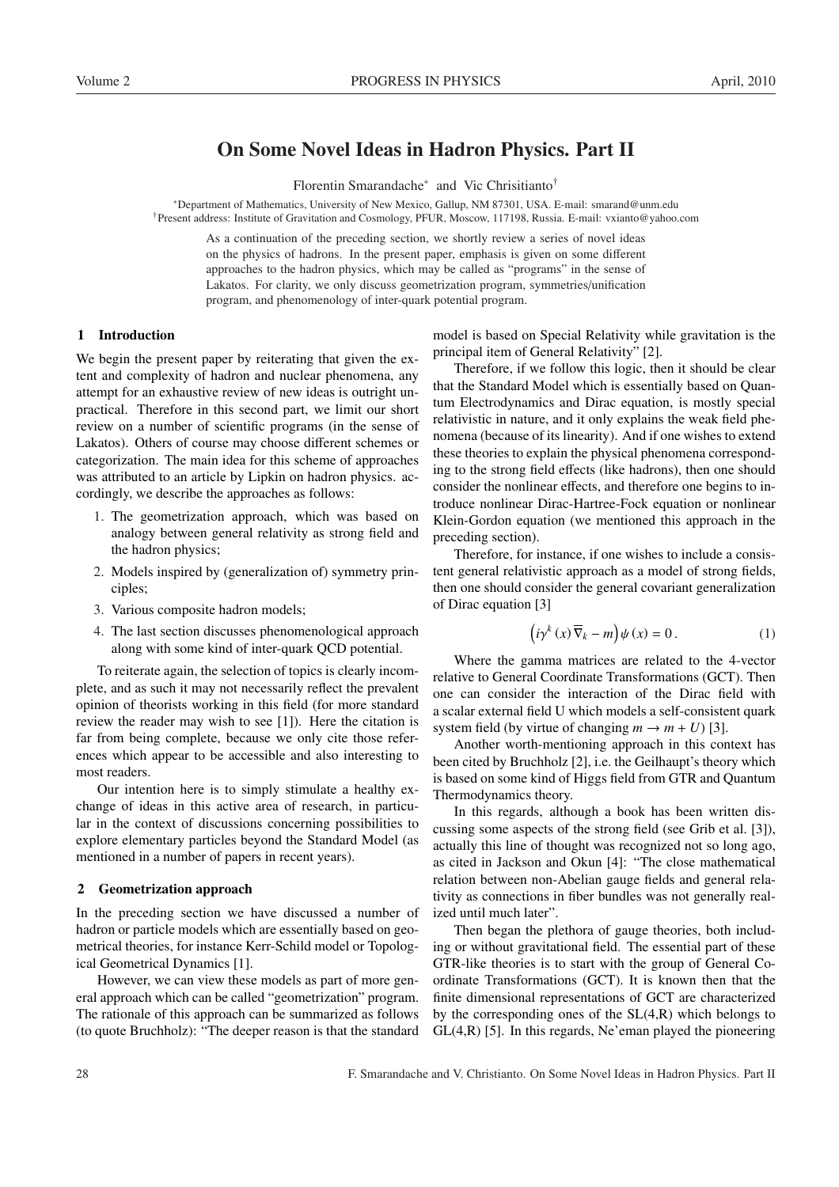# On Some Novel Ideas in Hadron Physics. Part II

Florentin Smarandache<sup>∗</sup> and Vic Chrisitianto†

<sup>∗</sup>Department of Mathematics, University of New Mexico, Gallup, NM 87301, USA. E-mail: smarand@unm.edu †Present address: Institute of Gravitation and Cosmology, PFUR, Moscow, 117198, Russia. E-mail: vxianto@yahoo.com

> As a continuation of the preceding section, we shortly review a series of novel ideas on the physics of hadrons. In the present paper, emphasis is given on some different approaches to the hadron physics, which may be called as "programs" in the sense of Lakatos. For clarity, we only discuss geometrization program, symmetries/unification program, and phenomenology of inter-quark potential program.

# 1 Introduction

We begin the present paper by reiterating that given the extent and complexity of hadron and nuclear phenomena, any attempt for an exhaustive review of new ideas is outright unpractical. Therefore in this second part, we limit our short review on a number of scientific programs (in the sense of Lakatos). Others of course may choose different schemes or categorization. The main idea for this scheme of approaches was attributed to an article by Lipkin on hadron physics. accordingly, we describe the approaches as follows:

- 1. The geometrization approach, which was based on analogy between general relativity as strong field and the hadron physics;
- 2. Models inspired by (generalization of) symmetry principles;
- 3. Various composite hadron models;
- 4. The last section discusses phenomenological approach along with some kind of inter-quark QCD potential.

To reiterate again, the selection of topics is clearly incomplete, and as such it may not necessarily reflect the prevalent opinion of theorists working in this field (for more standard review the reader may wish to see [1]). Here the citation is far from being complete, because we only cite those references which appear to be accessible and also interesting to most readers.

Our intention here is to simply stimulate a healthy exchange of ideas in this active area of research, in particular in the context of discussions concerning possibilities to explore elementary particles beyond the Standard Model (as mentioned in a number of papers in recent years).

#### 2 Geometrization approach

In the preceding section we have discussed a number of hadron or particle models which are essentially based on geometrical theories, for instance Kerr-Schild model or Topological Geometrical Dynamics [1].

However, we can view these models as part of more general approach which can be called "geometrization" program. The rationale of this approach can be summarized as follows (to quote Bruchholz): "The deeper reason is that the standard model is based on Special Relativity while gravitation is the principal item of General Relativity" [2].

Therefore, if we follow this logic, then it should be clear that the Standard Model which is essentially based on Quantum Electrodynamics and Dirac equation, is mostly special relativistic in nature, and it only explains the weak field phenomena (because of its linearity). And if one wishes to extend these theories to explain the physical phenomena corresponding to the strong field effects (like hadrons), then one should consider the nonlinear effects, and therefore one begins to introduce nonlinear Dirac-Hartree-Fock equation or nonlinear Klein-Gordon equation (we mentioned this approach in the preceding section).

Therefore, for instance, if one wishes to include a consistent general relativistic approach as a model of strong fields, then one should consider the general covariant generalization of Dirac equation [3]

$$
(i\gamma^{k}(x)\overline{\nabla}_{k}-m)\psi(x)=0.
$$
 (1)

Where the gamma matrices are related to the 4-vector relative to General Coordinate Transformations (GCT). Then one can consider the interaction of the Dirac field with a scalar external field U which models a self-consistent quark system field (by virtue of changing  $m \to m + U$ ) [3].

Another worth-mentioning approach in this context has been cited by Bruchholz [2], i.e. the Geilhaupt's theory which is based on some kind of Higgs field from GTR and Quantum Thermodynamics theory.

In this regards, although a book has been written discussing some aspects of the strong field (see Grib et al. [3]), actually this line of thought was recognized not so long ago, as cited in Jackson and Okun [4]: "The close mathematical relation between non-Abelian gauge fields and general relativity as connections in fiber bundles was not generally realized until much later".

Then began the plethora of gauge theories, both including or without gravitational field. The essential part of these GTR-like theories is to start with the group of General Coordinate Transformations (GCT). It is known then that the finite dimensional representations of GCT are characterized by the corresponding ones of the  $SL(4,R)$  which belongs to  $GL(4,R)$  [5]. In this regards, Ne'eman played the pioneering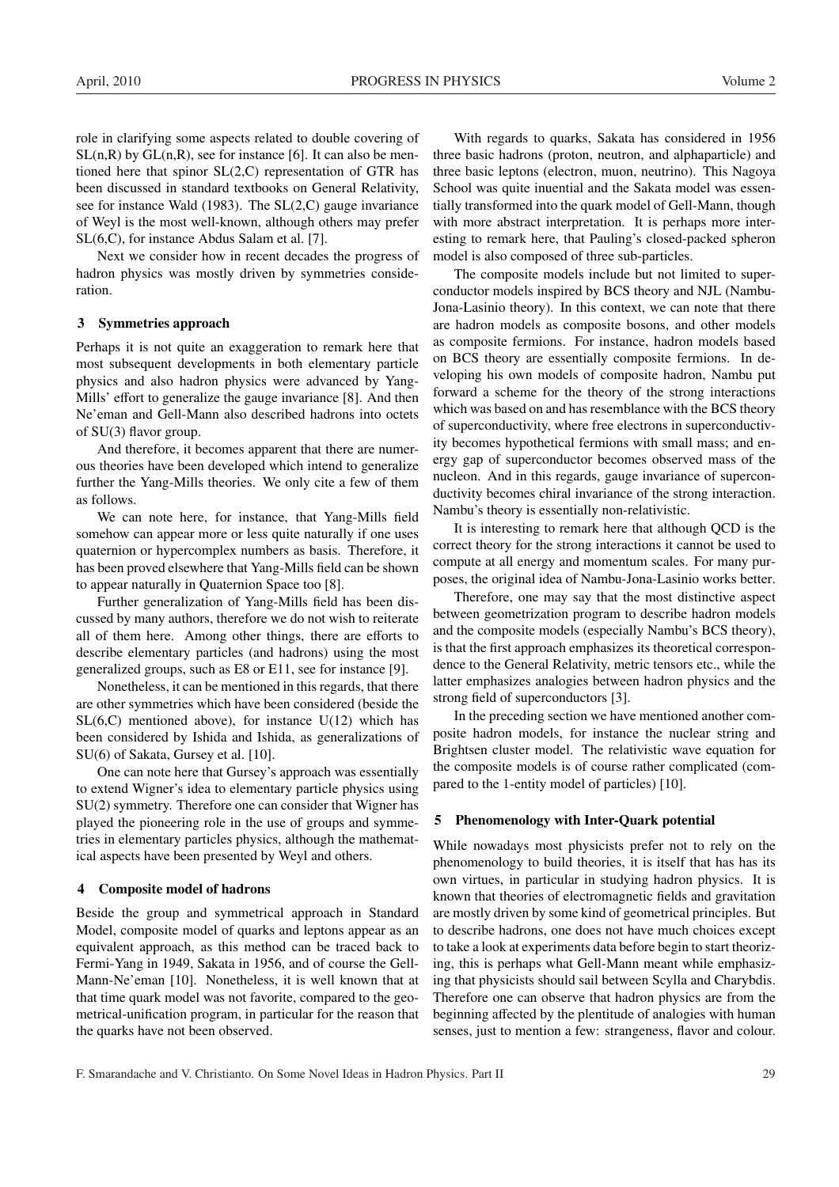role in clarifying some aspects related to double covering of  $SL(n,R)$  by  $GL(n,R)$ , see for instance [6]. It can also be mentioned here that spinor  $SL(2, C)$  representation of GTR has been discussed in standard textbooks on General Relativity, see for instance Wald (1983). The SL(2,C) gauge invariance of Weyl is the most well-known, although others may prefer SL(6,C), for instance Abdus Salam et al. [7].

Next we consider how in recent decades the progress of hadron physics was mostly driven by symmetries consideration.

# 3 Symmetries approach

Perhaps it is not quite an exaggeration to remark here that most subsequent developments in both elementary particle physics and also hadron physics were advanced by Yang-Mills' effort to generalize the gauge invariance [8]. And then Ne'eman and Gell-Mann also described hadrons into octets of SU(3) flavor group.

And therefore, it becomes apparent that there are numerous theories have been developed which intend to generalize further the Yang-Mills theories. We only cite a few of them as follows.

We can note here, for instance, that Yang-Mills field somehow can appear more or less quite naturally if one uses quaternion or hypercomplex numbers as basis. Therefore, it has been proved elsewhere that Yang-Mills field can be shown to appear naturally in Quaternion Space too [8].

Further generalization of Yang-Mills field has been discussed by many authors, therefore we do not wish to reiterate all of them here. Among other things, there are efforts to describe elementary particles (and hadrons) using the most generalized groups, such as E8 or E11, see for instance [9].

Nonetheless, it can be mentioned in this regards, that there are other symmetries which have been considered (beside the  $SL(6,C)$  mentioned above), for instance  $U(12)$  which has been considered by Ishida and Ishida, as generalizations of SU(6) of Sakata, Gursey et al. [10].

One can note here that Gursey's approach was essentially to extend Wigner's idea to elementary particle physics using SU(2) symmetry. Therefore one can consider that Wigner has played the pioneering role in the use of groups and symmetries in elementary particles physics, although the mathematical aspects have been presented by Weyl and others.

#### 4 Composite model of hadrons

Beside the group and symmetrical approach in Standard Model, composite model of quarks and leptons appear as an equivalent approach, as this method can be traced back to Fermi-Yang in 1949, Sakata in 1956, and of course the Gell-Mann-Ne'eman [10]. Nonetheless, it is well known that at that time quark model was not favorite, compared to the geometrical-unification program, in particular for the reason that the quarks have not been observed.

With regards to quarks, Sakata has considered in 1956 three basic hadrons (proton, neutron, and alphaparticle) and three basic leptons (electron, muon, neutrino). This Nagoya School was quite inuential and the Sakata model was essentially transformed into the quark model of Gell-Mann, though with more abstract interpretation. It is perhaps more interesting to remark here, that Pauling's closed-packed spheron model is also composed of three sub-particles.

The composite models include but not limited to superconductor models inspired by BCS theory and NJL (Nambu-Jona-Lasinio theory). In this context, we can note that there are hadron models as composite bosons, and other models as composite fermions. For instance, hadron models based on BCS theory are essentially composite fermions. In developing his own models of composite hadron, Nambu put forward a scheme for the theory of the strong interactions which was based on and has resemblance with the BCS theory of superconductivity, where free electrons in superconductivity becomes hypothetical fermions with small mass; and energy gap of superconductor becomes observed mass of the nucleon. And in this regards, gauge invariance of superconductivity becomes chiral invariance of the strong interaction. Nambu's theory is essentially non-relativistic.

It is interesting to remark here that although QCD is the correct theory for the strong interactions it cannot be used to compute at all energy and momentum scales. For many purposes, the original idea of Nambu-Jona-Lasinio works better.

Therefore, one may say that the most distinctive aspect between geometrization program to describe hadron models and the composite models (especially Nambu's BCS theory), is that the first approach emphasizes its theoretical correspondence to the General Relativity, metric tensors etc., while the latter emphasizes analogies between hadron physics and the strong field of superconductors [3].

In the preceding section we have mentioned another composite hadron models, for instance the nuclear string and Brightsen cluster model. The relativistic wave equation for the composite models is of course rather complicated (compared to the 1-entity model of particles) [10].

# 5 Phenomenology with Inter-Quark potential

While nowadays most physicists prefer not to rely on the phenomenology to build theories, it is itself that has has its own virtues, in particular in studying hadron physics. It is known that theories of electromagnetic fields and gravitation are mostly driven by some kind of geometrical principles. But to describe hadrons, one does not have much choices except to take a look at experiments data before begin to start theorizing, this is perhaps what Gell-Mann meant while emphasizing that physicists should sail between Scylla and Charybdis. Therefore one can observe that hadron physics are from the beginning affected by the plentitude of analogies with human senses, just to mention a few: strangeness, flavor and colour.